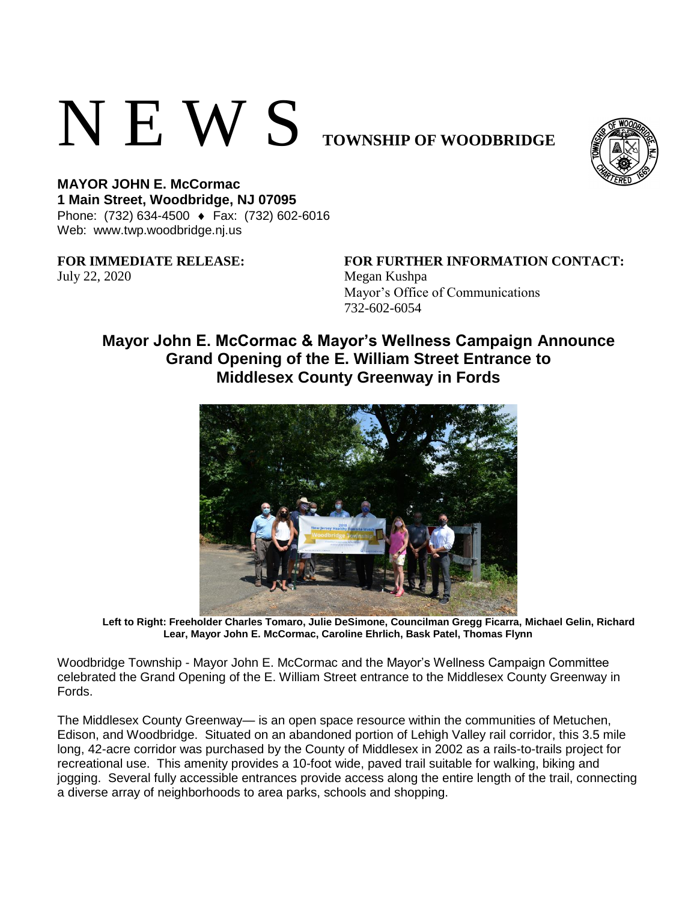## N E W S **TOWNSHIP OF WOODBRIDGE**



**MAYOR JOHN E. McCormac 1 Main Street, Woodbridge, NJ 07095**  Phone: (732) 634-4500 ♦ Fax: (732) 602-6016 Web: www.twp.woodbridge.nj.us

July 22, 2020 Megan Kushpa

**FOR IMMEDIATE RELEASE: FOR FURTHER INFORMATION CONTACT:** Mayor's Office of Communications 732-602-6054

## **Mayor John E. McCormac & Mayor's Wellness Campaign Announce Grand Opening of the E. William Street Entrance to Middlesex County Greenway in Fords**



**Left to Right: Freeholder Charles Tomaro, Julie DeSimone, Councilman Gregg Ficarra, Michael Gelin, Richard Lear, Mayor John E. McCormac, Caroline Ehrlich, Bask Patel, Thomas Flynn**

Woodbridge Township - Mayor John E. McCormac and the Mayor's Wellness Campaign Committee celebrated the Grand Opening of the E. William Street entrance to the Middlesex County Greenway in Fords.

The Middlesex County Greenway— is an open space resource within the communities of Metuchen, Edison, and Woodbridge. Situated on an abandoned portion of Lehigh Valley rail corridor, this 3.5 mile long, 42-acre corridor was purchased by the County of Middlesex in 2002 as a rails-to-trails project for recreational use. This amenity provides a 10-foot wide, paved trail suitable for walking, biking and jogging. Several fully accessible entrances provide access along the entire length of the trail, connecting a diverse array of neighborhoods to area parks, schools and shopping.